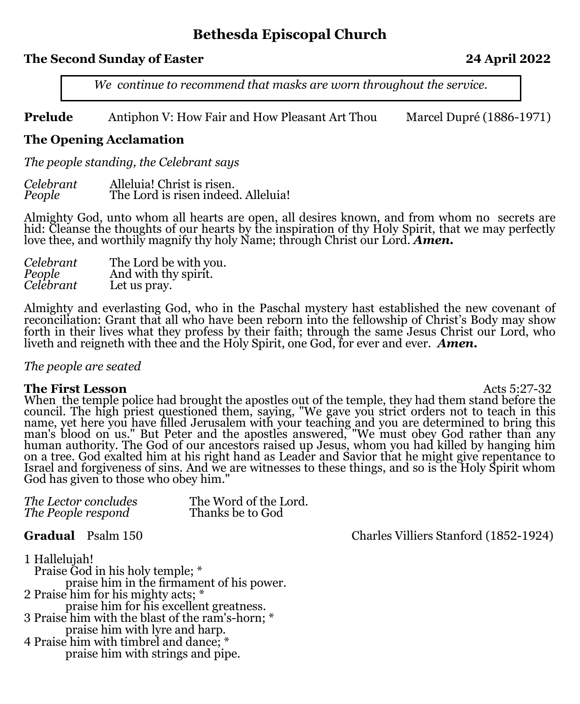# **Bethesda Episcopal Church**

## **The Second Sunday of Easter 24 April 2022**

*We continue to recommend that masks are worn throughout the service.* 

**Prelude** Antiphon V: How Fair and How Pleasant Art Thou Marcel Dupré (1886-1971)

### **The Opening Acclamation**

### *The people standing, the Celebrant says*

*Celebrant* Alleluia! Christ is risen. The Lord is risen indeed. Alleluia!

Almighty God, unto whom all hearts are open, all desires known, and from whom no secrets are hid: Cleanse the thoughts of our hearts by the inspiration of thy Holy Spirit, that we may perfectly love thee, and worthily magnify thy holy Name; through Christ our Lord. *Amen.* 

| Celebrant | The Lord be with you. |
|-----------|-----------------------|
| People    | And with thy spirit.  |
| Celebrant | Let us pray.          |

Almighty and everlasting God, who in the Paschal mystery hast established the new covenant of reconciliation: Grant that all who have been reborn into the fellowship of Christ's Body may show forth in their lives what they profess by their faith; through the same Jesus Christ our Lord, who liveth and reigneth with thee and the Holy Spirit, one God, for ever and ever.*Amen.*

### *The people are seated*

**The First Lesson** Acts 5:27-32 When the temple police had brought the apostles out of the temple, they had them stand before the council. The high priest questioned them, saying, "We gave you strict orders not to teach in this name, yet here you have filled Jerusalem with your teaching and you are determined to bring this man's blood on us." But Peter and the apostles answered, "We must obey God rather than any human authority. The God of our ancestors raised up Jesus, whom you had killed by hanging him on a tree. God exalted him at his right hand as Leader and Savior that he might give repentance to Israel and forgiveness of sins. And we are witnesses to these things, and so is the Holy Spirit whom God has given to those who obey him."

| The Lector concludes | The Word of the Lord. |
|----------------------|-----------------------|
| The People respond   | Thanks be to God      |

**Gradual** Psalm 150 Charles Villiers Stanford (1852-1924)

1 Hallelujah! Praise God in his holy temple; \* praise him in the firmament of his power. 2 Praise him for his mighty acts; \* praise him for his excellent greatness. 3 Praise him with the blast of the ram's-horn; \* praise him with lyre and harp. 4 Praise him with timbrel and dance; \* praise him with strings and pipe.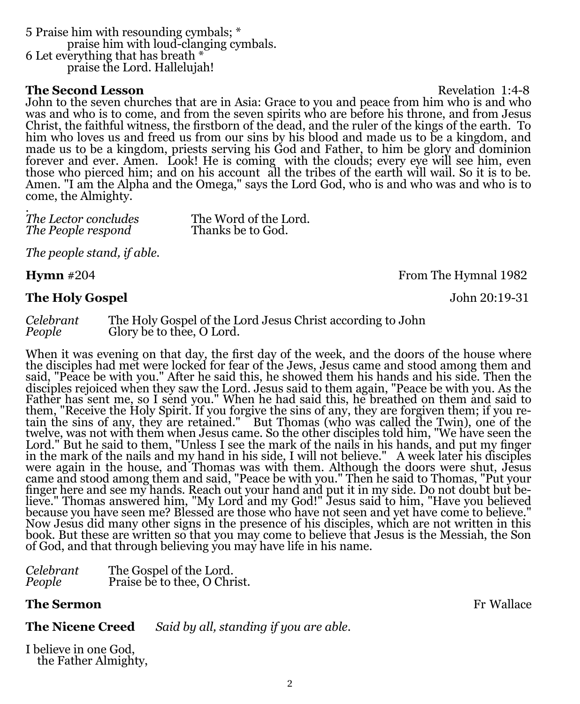5 Praise him with resounding cymbals; \* praise him with loud-clanging cymbals. 6 Let everything that has breath \* praise the Lord. Hallelujah!

**The Second Lesson Revelation 1:4-8** John to the seven churches that are in Asia: Grace to you and peace from him who is and who was and who is to come, and from the seven spirits who are before his throne, and from Jesus Christ, the faithful witness, the firstborn of the dead, and the ruler of the kings of the earth. To him who loves us and freed us from our sins by his blood and made us to be a kingdom, and made us to be a kingdom, priests serving his God and Father, to him be glory and dominion forever and ever. Amen. Look! He is coming with the clouds; every eye will see him, even those who pierced him; and on his account all the tribes of the earth will wail. So it is to be. Amen. "I am the Alpha and the Omega," says the Lord God, who is and who was and who is to

come, the Almighty. .

*The Lector concludes* The Word of the Lord. *The People respond* Thanks be to God.

*The people stand, if able.*

## **Hymn** #204 **From The Hymnal 1982**

## **The Holy Gospel** John 20:19-31

*Celebrant* The Holy Gospel of the Lord Jesus Christ according to John Glory be to thee, O Lord.

When it was evening on that day, the first day of the week, and the doors of the house where the disciples had met were locked for fear of the Jews, Jesus came and stood among them and said, "Peace be with you." After he said this, he showed them his hands and his side. Then the disciples rejoiced when they saw the Lord. Jesus said to them again, "Peace be with you. As the Father has sent me, so I send you." When he had said this, he breathed on them and said to them, "Receive the Holy Spirit. If you forgive the sins of any, they are forgiven them; if you retain the sins of any, they are retained." But Thomas (who was called the Twin), one of the twelve, was not with them when Jesus came. So the other disciples told him, "We have seen the Lord." But he said to them, "Unless I see the mark of the nails in his hands, and put my finger in the mark of the nails and my hand in his side, I will not believe." A week later his disciples were again in the house, and Thomas was with them. Although the doors were shut, Jesus came and stood among them and said, "Peace be with you." Then he said to Thomas, "Put your finger here and see my hands. Reach out your hand and put it in my side. Do not doubt but believe." Thomas answered him, "My Lord and my God!" Jesus said to him, "Have you believed because you have seen me? Blessed are those who have not seen and yet have come to believe." Now Jesus did many other signs in the presence of his disciples, which are not written in this book. But these are written so that you may come to believe that Jesus is the Messiah, the Son of God, and that through believing you may have life in his name.

| Celebrant | The Gospel of the Lord.      |
|-----------|------------------------------|
| People    | Praise be to thee, O Christ. |

## **The Sermon Friday According to the Sermon Friday According to the Sermon**

**The Nicene Creed** *Said by all, standing if you are able.*

I believe in one God, the Father Almighty,

2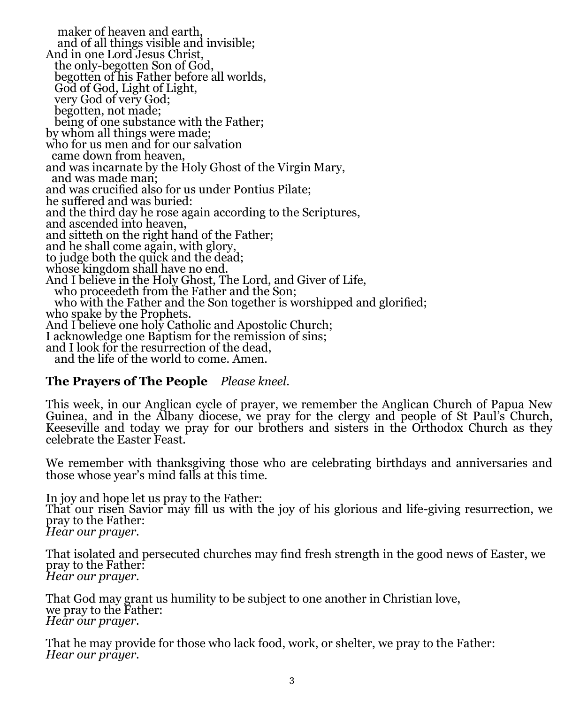maker of heaven and earth, and of all things visible and invisible; And in one Lord Jesus Christ, the only-begotten Son of God, begotten of his Father before all worlds, God of God, Light of Light, very God of very God; begotten, not made; being of one substance with the Father; by whom all things were made; who for us men and for our salvation came down from heaven, and was incarnate by the Holy Ghost of the Virgin Mary, and was made man; and was crucified also for us under Pontius Pilate; he suffered and was buried: and the third day he rose again according to the Scriptures, and ascended into heaven, and sitteth on the right hand of the Father; and he shall come again, with glory, to judge both the quick and the dead; whose kingdom shall have no end. And I believe in the Holy Ghost, The Lord, and Giver of Life, who proceedeth from the Father and the Son; who with the Father and the Son together is worshipped and glorified; who spake by the Prophets. And I believe one holy Catholic and Apostolic Church; I acknowledge one Baptism for the remission of sins; and I look for the resurrection of the dead, and the life of the world to come. Amen.

## **The Prayers of The People** *Please kneel.*

This week, in our Anglican cycle of prayer, we remember the Anglican Church of Papua New Guinea, and in the Albany diocese, we pray for the clergy and people of St Paul's Church, Keeseville and today we pray for our brothers and sisters in the Orthodox Church as they celebrate the Easter Feast.

We remember with thanksgiving those who are celebrating birthdays and anniversaries and those whose year's mind falls at this time.

In joy and hope let us pray to the Father:

That our risen Savior may fill us with the joy of his glorious and life-giving resurrection, we pray to the Father:

*Hear our prayer.*

That isolated and persecuted churches may find fresh strength in the good news of Easter, we pray to the Father: *Hear our prayer.*

That God may grant us humility to be subject to one another in Christian love, we pray to the Father: *Hear our prayer.*

That he may provide for those who lack food, work, or shelter, we pray to the Father: *Hear our prayer.*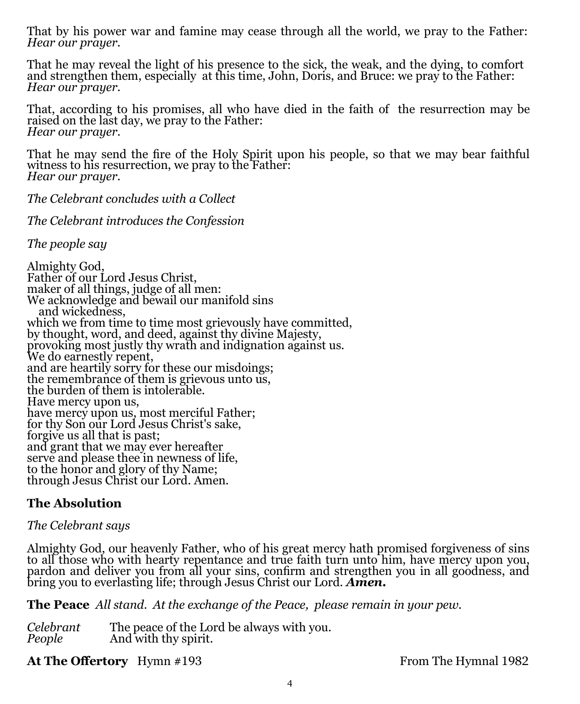That by his power war and famine may cease through all the world, we pray to the Father: *Hear our prayer.*

That he may reveal the light of his presence to the sick, the weak, and the dying, to comfort and strengthen them, especially at this time, John, Doris, and Bruce: we pray to the Father: *Hear our prayer.*

That, according to his promises, all who have died in the faith of the resurrection may be raised on the last day, we pray to the Father: *Hear our prayer.*

That he may send the fire of the Holy Spirit upon his people, so that we may bear faithful witness to his resurrection, we pray to the Father: *Hear our prayer.*

*The Celebrant concludes with a Collect*

*The Celebrant introduces the Confession*

*The people say*

Almighty God, Father of our Lord Jesus Christ, maker of all things, judge of all men: We acknowledge and bewail our manifold sins and wickedness, which we from time to time most grievously have committed, by thought, word, and deed, against thy divine Majesty, provoking most justly thy wrath and indignation against us. We do earnestly repent, and are heartily sorry for these our misdoings; the remembrance of them is grievous unto us, the burden of them is intolerable. Have mercy upon us, have mercy upon us, most merciful Father; for thy Son our Lord Jesus Christ's sake, forgive us all that is past; and grant that we may ever hereafter serve and please thee in newness of life, to the honor and glory of thy Name; through Jesus Christ our Lord. Amen.

# **The Absolution**

## *The Celebrant says*

Almighty God, our heavenly Father, who of his great mercy hath promised forgiveness of sins to all those who with hearty repentance and true faith turn unto him, have mercy upon you, pardon and deliver you from all your sins, confirm and strengthen you in all goodness, and bring you to everlasting life; through Jesus Christ our Lord. *Amen.* 

**The Peace** *All stand. At the exchange of the Peace, please remain in your pew.* 

*Celebrant* The peace of the Lord be always with you. And with thy spirit.

**At The Offertory** Hymn #193 **From The Hymnal 1982**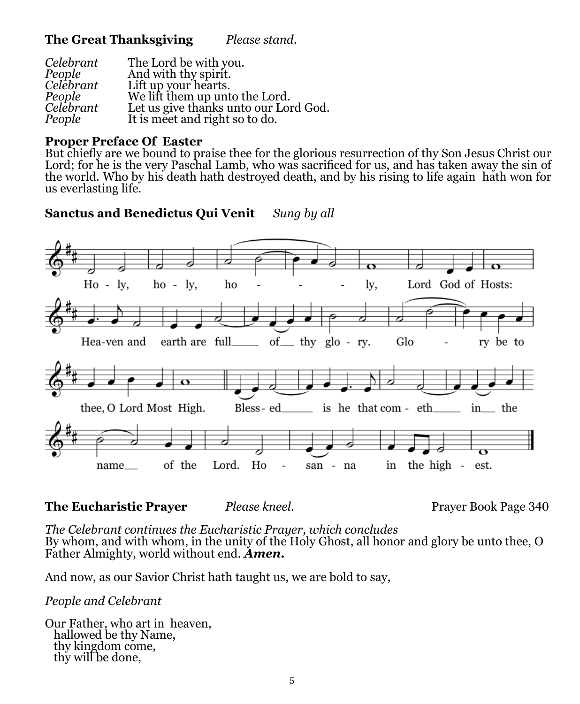# **The Great Thanksgiving** *Please stand.*

| Celebrant | The Lord be with you.                 |
|-----------|---------------------------------------|
| People    | And with thy spirit.                  |
| Celebrant | Lift up your hearts.                  |
| People    | We lift them up unto the Lord.        |
| Celebrant | Let us give thanks unto our Lord God. |
| People    | It is meet and right so to do.        |

### **Proper Preface Of Easter**

But chiefly are we bound to praise thee for the glorious resurrection of thy Son Jesus Christ our Lord; for he is the very Paschal Lamb, who was sacrificed for us, and has taken away the sin of the world. Who by his death hath destroyed death, and by his rising to life again hath won for us everlasting life.

**Sanctus and Benedictus Qui Venit** *Sung by all*



**The Eucharistic Prayer** *Please kneel.* Prayer Book Page 340

*The Celebrant continues the Eucharistic Prayer, which concludes*  By whom, and with whom, in the unity of the Holy Ghost, all honor and glory be unto thee, O Father Almighty, world without end. *Amen.*

And now, as our Savior Christ hath taught us, we are bold to say,

*People and Celebrant*

Our Father, who art in heaven, hallowed be thy Name, thy kingdom come, thy will be done,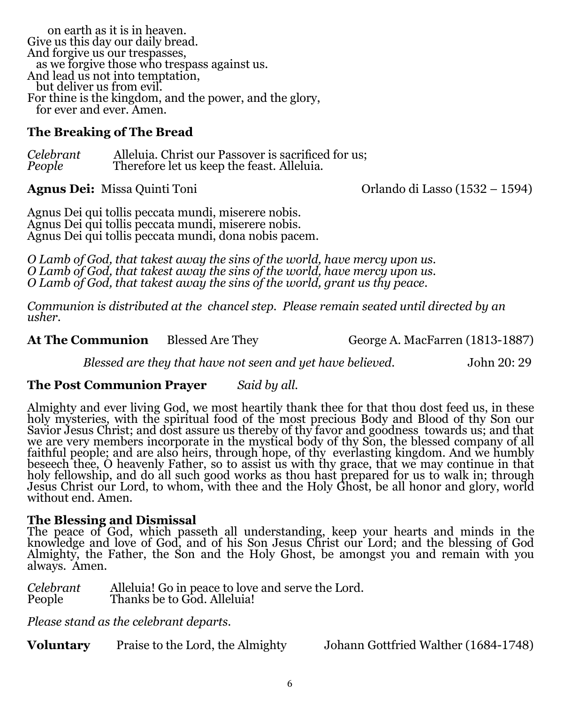on earth as it is in heaven. Give us this day our daily bread. And forgive us our trespasses, as we forgive those who trespass against us. And lead us not into temptation, but deliver us from evil. For thine is the kingdom, and the power, and the glory, for ever and ever. Amen.

## **The Breaking of The Bread**

*Celebrant* Alleluia. Christ our Passover is sacrificed for us; Therefore let us keep the feast. Alleluia.

**Agnus Dei:** Missa Quinti Toni Orlando di Lasso (1532 – 1594)

Agnus Dei qui tollis peccata mundi, miserere nobis. Agnus Dei qui tollis peccata mundi, miserere nobis. Agnus Dei qui tollis peccata mundi, dona nobis pacem.

*O Lamb of God, that takest away the sins of the world, have mercy upon us. O Lamb of God, that takest away the sins of the world, grant us thy peace.*

*Communion is distributed at the chancel step. Please remain seated until directed by an usher.*

**At The Communion** Blessed Are They George A. MacFarren (1813-1887)

*Blessed are they that have not seen and yet have believed.* John 20: 29

## **The Post Communion Prayer** *Said by all.*

Almighty and ever living God, we most heartily thank thee for that thou dost feed us, in these holy mysteries, with the spiritual food of the most precious Body and Blood of thy Son our Savior Jesus Christ; and dost assure us thereby of thy favor and goodness towards us; and that we are very members incorporate in the mystical body of thy Son, the blessed company of all faithful people; and are also heirs, through hope, of thy everlasting kingdom. And we humbly beseech thee, O heavenly Father, so to assist us with thy grace, that we may continue in that holy fellowship, and do all such good works as thou hast prepared for us to walk in; through Jesus Christ our Lord, to whom, with thee and the Holy Ghost, be all honor and glory, world without end. Amen.

## **The Blessing and Dismissal**

The peace of God, which passeth all understanding, keep your hearts and minds in the knowledge and love of God, and of his Son Jesus Christ our Lord; and the blessing of God Almighty, the Father, the Son and the Holy Ghost, be amongst you and remain with you always. Amen.

*Celebrant* Alleluia! Go in peace to love and serve the Lord. People Thanks be to God. Alleluia!

*Please stand as the celebrant departs.*

**Voluntary** Praise to the Lord, the Almighty Johann Gottfried Walther (1684-1748)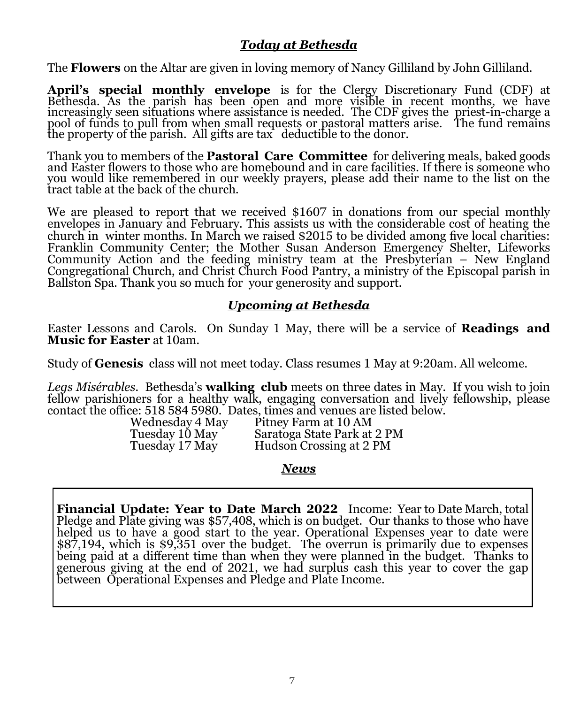# *Today at Bethesda*

The **Flowers** on the Altar are given in loving memory of Nancy Gilliland by John Gilliland.

**April's special monthly envelope** is for the Clergy Discretionary Fund (CDF) at Bethesda. As the parish has been open and more visible in recent months, we have increasingly seen situations where assistance is needed. The CDF gives the priest-in-charge a pool of funds to pull from when small requests or pastoral matters arise. The fund remains the property of the parish. All gifts are tax deductible to the donor.

Thank you to members of the **Pastoral Care Committee** for delivering meals, baked goods and Easter flowers to those who are homebound and in care facilities. If there is someone who you would like remembered in our weekly prayers, please add their name to the list on the tract table at the back of the church.

We are pleased to report that we received \$1607 in donations from our special monthly envelopes in January and February. This assists us with the considerable cost of heating the church in winter months. In March we raised \$2015 to be divided among five local charities: Franklin Community Center; the Mother Susan Anderson Emergency Shelter, Lifeworks Community Action and the feeding ministry team at the Presbyterian – New England Congregational Church, and Christ Church Food Pantry, a ministry of the Episcopal parish in Ballston Spa. Thank you so much for your generosity and support.

## *Upcoming at Bethesda*

Easter Lessons and Carols. On Sunday 1 May, there will be a service of **Readings and Music for Easter** at 10am.

Study of **Genesis** class will not meet today. Class resumes 1 May at 9:20am. All welcome.

*Legs Misérables*. Bethesda's **walking club** meets on three dates in May. If you wish to join fellow parishioners for a healthy walk, engaging conversation and lively fellowship, please contact the office: 518 584 5980. Dates, times and venues are listed below.

Wednesday 4 May Pitney Farm at 10 AM<br>Tuesday 10 May Saratoga State Park at Tuesday 10 May Saratoga State Park at 2 PM<br>Tuesday 17 May Hudson Crossing at 2 PM Hudson Crossing at 2 PM

### *News*

**Financial Update: Year to Date March 2022** Income: Year to Date March, total Pledge and Plate giving was \$57,408, which is on budget. Our thanks to those who have helped us to have a good start to the year. Operational Expenses year to date were \$87,194, which is \$9,351 over the budget. The overrun is primarily due to expenses being paid at a different time than when they were planned in the budget. Thanks to generous giving at the end of 2021, we had surplus cash this year to cover the gap between Operational Expenses and Pledge and Plate Income.